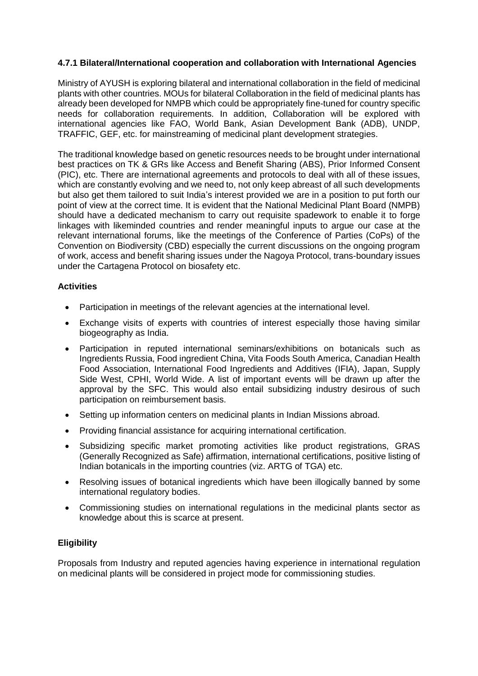# **4.7.1 Bilateral/International cooperation and collaboration with International Agencies**

Ministry of AYUSH is exploring bilateral and international collaboration in the field of medicinal plants with other countries. MOUs for bilateral Collaboration in the field of medicinal plants has already been developed for NMPB which could be appropriately fine-tuned for country specific needs for collaboration requirements. In addition, Collaboration will be explored with international agencies like FAO, World Bank, Asian Development Bank (ADB), UNDP, TRAFFIC, GEF, etc. for mainstreaming of medicinal plant development strategies.

The traditional knowledge based on genetic resources needs to be brought under international best practices on TK & GRs like Access and Benefit Sharing (ABS), Prior Informed Consent (PIC), etc. There are international agreements and protocols to deal with all of these issues, which are constantly evolving and we need to, not only keep abreast of all such developments but also get them tailored to suit India's interest provided we are in a position to put forth our point of view at the correct time. It is evident that the National Medicinal Plant Board (NMPB) should have a dedicated mechanism to carry out requisite spadework to enable it to forge linkages with likeminded countries and render meaningful inputs to argue our case at the relevant international forums, like the meetings of the Conference of Parties (CoPs) of the Convention on Biodiversity (CBD) especially the current discussions on the ongoing program of work, access and benefit sharing issues under the Nagoya Protocol, trans-boundary issues under the Cartagena Protocol on biosafety etc.

## **Activities**

- Participation in meetings of the relevant agencies at the international level.
- Exchange visits of experts with countries of interest especially those having similar biogeography as India.
- Participation in reputed international seminars/exhibitions on botanicals such as Ingredients Russia, Food ingredient China, Vita Foods South America, Canadian Health Food Association, International Food Ingredients and Additives (IFIA), Japan, Supply Side West, CPHI, World Wide. A list of important events will be drawn up after the approval by the SFC. This would also entail subsidizing industry desirous of such participation on reimbursement basis.
- Setting up information centers on medicinal plants in Indian Missions abroad.
- Providing financial assistance for acquiring international certification.
- Subsidizing specific market promoting activities like product registrations, GRAS (Generally Recognized as Safe) affirmation, international certifications, positive listing of Indian botanicals in the importing countries (viz. ARTG of TGA) etc.
- Resolving issues of botanical ingredients which have been illogically banned by some international regulatory bodies.
- Commissioning studies on international regulations in the medicinal plants sector as knowledge about this is scarce at present.

# **Eligibility**

Proposals from Industry and reputed agencies having experience in international regulation on medicinal plants will be considered in project mode for commissioning studies.